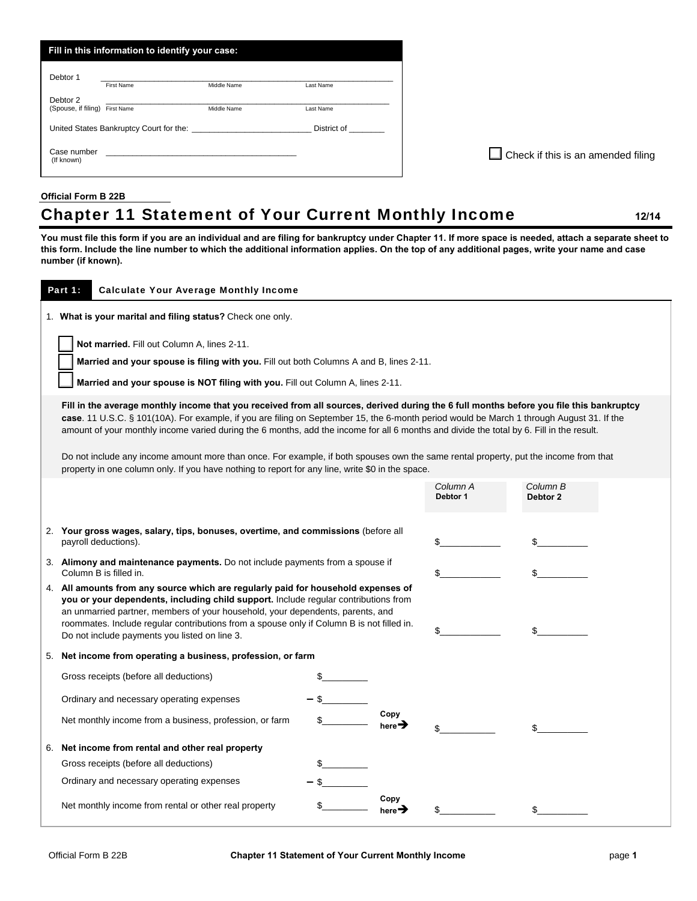|                                            | Fill in this information to identify your case: |                                                                                                                      |             |
|--------------------------------------------|-------------------------------------------------|----------------------------------------------------------------------------------------------------------------------|-------------|
| Debtor 1                                   | <b>First Name</b>                               | Middle Name                                                                                                          | Last Name   |
| Debtor 2<br>(Spouse, if filing) First Name |                                                 | Middle Name                                                                                                          | Last Name   |
| United States Bankruptcy Court for the:    |                                                 |                                                                                                                      | District of |
| Case number<br>(If known)                  |                                                 | <u> 1980 - Jan Samuel Barbara, martin da basar da basar da basar da basar da basar da basar da basar da basar da</u> |             |

**Check if this is an amended filing** 

## **Official Form B 22B**

## Chapter 11 Statement of Your Current Monthly Income **12/14**

**You must file this form if you are an individual and are filing for bankruptcy under Chapter 11. If more space is needed, attach a separate sheet to this form. Include the line number to which the additional information applies. On the top of any additional pages, write your name and case number (if known).** 

| Part 1:<br><b>Calculate Your Average Monthly Income</b>                                                                                                                                                                                                                                                                                                                                                  |  |                            |                      |                      |
|----------------------------------------------------------------------------------------------------------------------------------------------------------------------------------------------------------------------------------------------------------------------------------------------------------------------------------------------------------------------------------------------------------|--|----------------------------|----------------------|----------------------|
| 1. What is your marital and filing status? Check one only.                                                                                                                                                                                                                                                                                                                                               |  |                            |                      |                      |
| Not married. Fill out Column A, lines 2-11.                                                                                                                                                                                                                                                                                                                                                              |  |                            |                      |                      |
| Married and your spouse is filing with you. Fill out both Columns A and B, lines 2-11.                                                                                                                                                                                                                                                                                                                   |  |                            |                      |                      |
| Married and your spouse is NOT filing with you. Fill out Column A, lines 2-11.                                                                                                                                                                                                                                                                                                                           |  |                            |                      |                      |
| Fill in the average monthly income that you received from all sources, derived during the 6 full months before you file this bankruptcy                                                                                                                                                                                                                                                                  |  |                            |                      |                      |
| case. 11 U.S.C. § 101(10A). For example, if you are filing on September 15, the 6-month period would be March 1 through August 31. If the<br>amount of your monthly income varied during the 6 months, add the income for all 6 months and divide the total by 6. Fill in the result.                                                                                                                    |  |                            |                      |                      |
| Do not include any income amount more than once. For example, if both spouses own the same rental property, put the income from that<br>property in one column only. If you have nothing to report for any line, write \$0 in the space.                                                                                                                                                                 |  |                            |                      |                      |
|                                                                                                                                                                                                                                                                                                                                                                                                          |  |                            | Column A<br>Debtor 1 | Column B<br>Debtor 2 |
|                                                                                                                                                                                                                                                                                                                                                                                                          |  |                            |                      |                      |
| 2. Your gross wages, salary, tips, bonuses, overtime, and commissions (before all<br>payroll deductions).                                                                                                                                                                                                                                                                                                |  |                            |                      |                      |
| 3. Alimony and maintenance payments. Do not include payments from a spouse if<br>Column B is filled in.                                                                                                                                                                                                                                                                                                  |  |                            | \$                   |                      |
| 4. All amounts from any source which are regularly paid for household expenses of<br>you or your dependents, including child support. Include regular contributions from<br>an unmarried partner, members of your household, your dependents, parents, and<br>roommates. Include regular contributions from a spouse only if Column B is not filled in.<br>Do not include payments you listed on line 3. |  |                            |                      |                      |
| 5. Net income from operating a business, profession, or farm                                                                                                                                                                                                                                                                                                                                             |  |                            |                      |                      |
| Gross receipts (before all deductions)                                                                                                                                                                                                                                                                                                                                                                   |  |                            |                      |                      |
| Ordinary and necessary operating expenses                                                                                                                                                                                                                                                                                                                                                                |  |                            |                      |                      |
| Net monthly income from a business, profession, or farm                                                                                                                                                                                                                                                                                                                                                  |  | Copy<br>here $\rightarrow$ |                      |                      |
| 6. Net income from rental and other real property                                                                                                                                                                                                                                                                                                                                                        |  |                            |                      |                      |
| Gross receipts (before all deductions)                                                                                                                                                                                                                                                                                                                                                                   |  |                            |                      |                      |
| Ordinary and necessary operating expenses                                                                                                                                                                                                                                                                                                                                                                |  |                            |                      |                      |
| Net monthly income from rental or other real property                                                                                                                                                                                                                                                                                                                                                    |  | here $\overrightarrow{=}$  |                      |                      |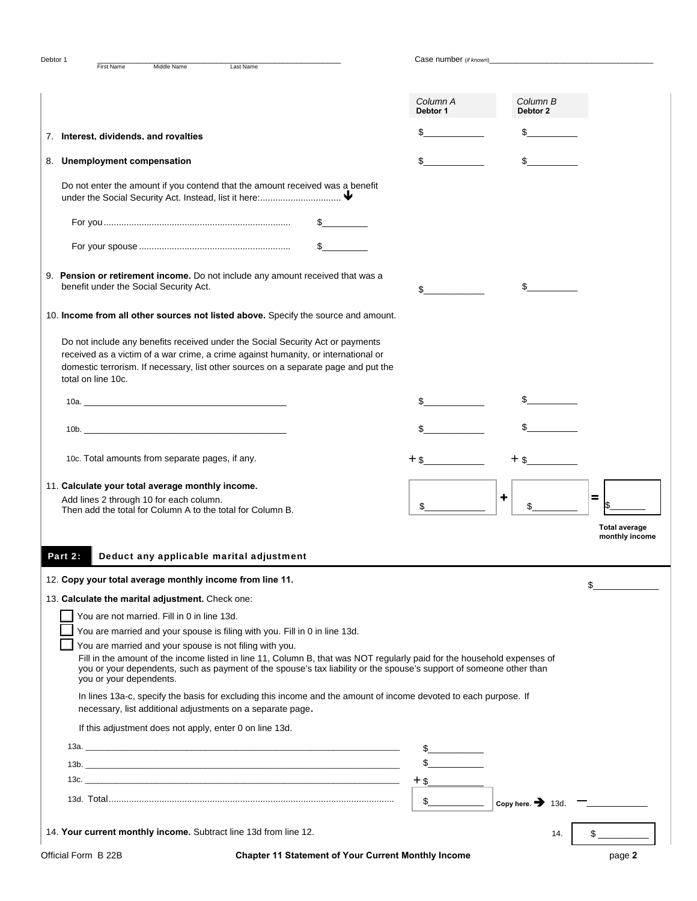| Debtor 1<br><b>First Name</b><br>Middle Name<br>Last Name                                                                                                                                                                                                                                                 | Case number (if known) |                               |                                        |
|-----------------------------------------------------------------------------------------------------------------------------------------------------------------------------------------------------------------------------------------------------------------------------------------------------------|------------------------|-------------------------------|----------------------------------------|
|                                                                                                                                                                                                                                                                                                           | Column A<br>Debtor 1   | Column B<br>Debtor 2          |                                        |
| 7. Interest, dividends, and rovalties                                                                                                                                                                                                                                                                     |                        |                               |                                        |
| 8. Unemployment compensation                                                                                                                                                                                                                                                                              |                        |                               |                                        |
| Do not enter the amount if you contend that the amount received was a benefit                                                                                                                                                                                                                             |                        |                               |                                        |
|                                                                                                                                                                                                                                                                                                           |                        |                               |                                        |
| $\mathbb{S}$ and $\mathbb{S}$                                                                                                                                                                                                                                                                             |                        |                               |                                        |
|                                                                                                                                                                                                                                                                                                           |                        |                               |                                        |
| 9. Pension or retirement income. Do not include any amount received that was a<br>benefit under the Social Security Act.                                                                                                                                                                                  | \$                     |                               |                                        |
| 10. Income from all other sources not listed above. Specify the source and amount.                                                                                                                                                                                                                        |                        |                               |                                        |
| Do not include any benefits received under the Social Security Act or payments<br>received as a victim of a war crime, a crime against humanity, or international or<br>domestic terrorism. If necessary, list other sources on a separate page and put the<br>total on line 10c.                         |                        |                               |                                        |
|                                                                                                                                                                                                                                                                                                           |                        |                               |                                        |
| 10b.                                                                                                                                                                                                                                                                                                      |                        |                               |                                        |
| 10c. Total amounts from separate pages, if any.                                                                                                                                                                                                                                                           | $+$ \$                 |                               |                                        |
| 11. Calculate your total average monthly income.                                                                                                                                                                                                                                                          |                        |                               |                                        |
| Add lines 2 through 10 for each column.<br>Then add the total for Column A to the total for Column B.                                                                                                                                                                                                     | \$                     | +                             | $\equiv$                               |
|                                                                                                                                                                                                                                                                                                           |                        |                               | <b>Total average</b><br>monthly income |
| Deduct any applicable marital adjustment<br>Part 2:                                                                                                                                                                                                                                                       |                        |                               |                                        |
| 12. Copy your total average monthly income from line 11.                                                                                                                                                                                                                                                  |                        |                               | \$                                     |
| 13. Calculate the marital adjustment. Check one:                                                                                                                                                                                                                                                          |                        |                               |                                        |
| You are not married. Fill in 0 in line 13d.                                                                                                                                                                                                                                                               |                        |                               |                                        |
| You are married and your spouse is filing with you. Fill in 0 in line 13d.                                                                                                                                                                                                                                |                        |                               |                                        |
|                                                                                                                                                                                                                                                                                                           |                        |                               |                                        |
| You are married and your spouse is not filing with you.<br>Fill in the amount of the income listed in line 11, Column B, that was NOT regularly paid for the household expenses of<br>you or your dependents, such as payment of the spouse's tax liability or the spouse's support of someone other than |                        |                               |                                        |
| you or your dependents.<br>In lines 13a-c, specify the basis for excluding this income and the amount of income devoted to each purpose. If<br>necessary, list additional adjustments on a separate page.                                                                                                 |                        |                               |                                        |
| If this adjustment does not apply, enter 0 on line 13d.                                                                                                                                                                                                                                                   |                        |                               |                                        |
|                                                                                                                                                                                                                                                                                                           | $\frac{1}{2}$          |                               |                                        |
| 13b. $\overline{\phantom{a}}$                                                                                                                                                                                                                                                                             |                        |                               |                                        |
|                                                                                                                                                                                                                                                                                                           | $+$ \$                 |                               |                                        |
|                                                                                                                                                                                                                                                                                                           | $\mathbb{S}$           | Copy here. $\rightarrow$ 13d. |                                        |
| 14. Your current monthly income. Subtract line 13d from line 12.                                                                                                                                                                                                                                          |                        | 14.                           |                                        |